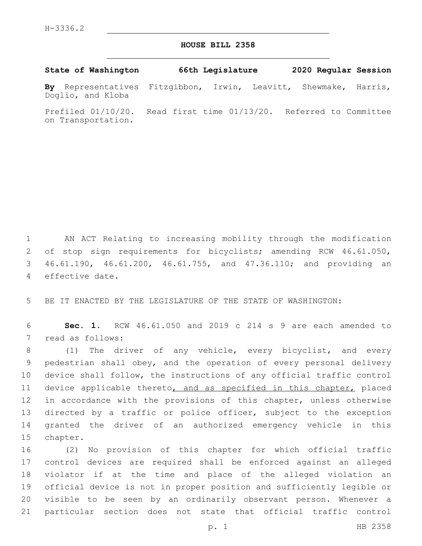## **HOUSE BILL 2358**

**State of Washington 66th Legislature 2020 Regular Session**

**By** Representatives Fitzgibbon, Irwin, Leavitt, Shewmake, Harris, Doglio, and Kloba

Prefiled 01/10/20. Read first time 01/13/20. Referred to Committee on Transportation.

 AN ACT Relating to increasing mobility through the modification of stop sign requirements for bicyclists; amending RCW 46.61.050, 46.61.190, 46.61.200, 46.61.755, and 47.36.110; and providing an 4 effective date.

5 BE IT ENACTED BY THE LEGISLATURE OF THE STATE OF WASHINGTON:

6 **Sec. 1.** RCW 46.61.050 and 2019 c 214 s 9 are each amended to 7 read as follows:

 (1) The driver of any vehicle, every bicyclist, and every pedestrian shall obey, and the operation of every personal delivery device shall follow, the instructions of any official traffic control 11 device applicable thereto, and as specified in this chapter, placed 12 in accordance with the provisions of this chapter, unless otherwise directed by a traffic or police officer, subject to the exception granted the driver of an authorized emergency vehicle in this 15 chapter.

 (2) No provision of this chapter for which official traffic control devices are required shall be enforced against an alleged violator if at the time and place of the alleged violation an official device is not in proper position and sufficiently legible or visible to be seen by an ordinarily observant person. Whenever a particular section does not state that official traffic control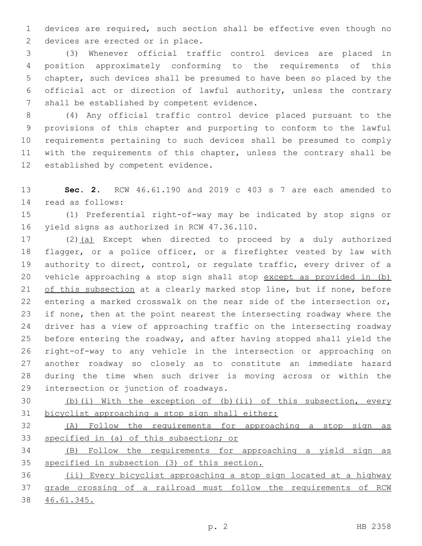devices are required, such section shall be effective even though no 2 devices are erected or in place.

 (3) Whenever official traffic control devices are placed in position approximately conforming to the requirements of this chapter, such devices shall be presumed to have been so placed by the official act or direction of lawful authority, unless the contrary 7 shall be established by competent evidence.

 (4) Any official traffic control device placed pursuant to the provisions of this chapter and purporting to conform to the lawful requirements pertaining to such devices shall be presumed to comply with the requirements of this chapter, unless the contrary shall be 12 established by competent evidence.

 **Sec. 2.** RCW 46.61.190 and 2019 c 403 s 7 are each amended to read as follows:14

 (1) Preferential right-of-way may be indicated by stop signs or 16 yield signs as authorized in RCW 47.36.110.

 (2)(a) Except when directed to proceed by a duly authorized flagger, or a police officer, or a firefighter vested by law with authority to direct, control, or regulate traffic, every driver of a vehicle approaching a stop sign shall stop except as provided in (b) of this subsection at a clearly marked stop line, but if none, before entering a marked crosswalk on the near side of the intersection or, if none, then at the point nearest the intersecting roadway where the driver has a view of approaching traffic on the intersecting roadway before entering the roadway, and after having stopped shall yield the right-of-way to any vehicle in the intersection or approaching on another roadway so closely as to constitute an immediate hazard during the time when such driver is moving across or within the 29 intersection or junction of roadways.

 (b)(i) With the exception of (b)(ii) of this subsection, every bicyclist approaching a stop sign shall either:

 (A) Follow the requirements for approaching a stop sign as specified in (a) of this subsection; or

 (B) Follow the requirements for approaching a yield sign as specified in subsection (3) of this section.

 (ii) Every bicyclist approaching a stop sign located at a highway grade crossing of a railroad must follow the requirements of RCW 46.61.345.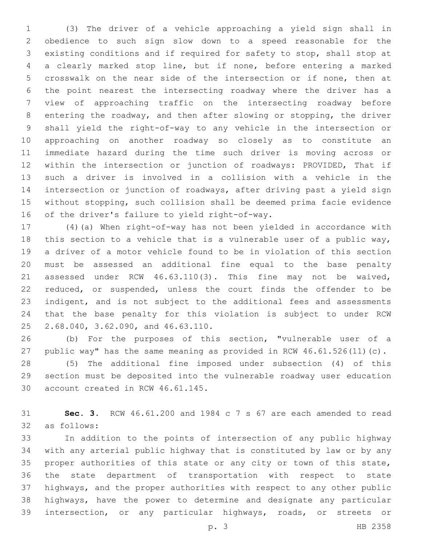(3) The driver of a vehicle approaching a yield sign shall in obedience to such sign slow down to a speed reasonable for the existing conditions and if required for safety to stop, shall stop at a clearly marked stop line, but if none, before entering a marked crosswalk on the near side of the intersection or if none, then at the point nearest the intersecting roadway where the driver has a view of approaching traffic on the intersecting roadway before entering the roadway, and then after slowing or stopping, the driver shall yield the right-of-way to any vehicle in the intersection or approaching on another roadway so closely as to constitute an immediate hazard during the time such driver is moving across or within the intersection or junction of roadways: PROVIDED, That if such a driver is involved in a collision with a vehicle in the intersection or junction of roadways, after driving past a yield sign without stopping, such collision shall be deemed prima facie evidence 16 of the driver's failure to yield right-of-way.

 (4)(a) When right-of-way has not been yielded in accordance with this section to a vehicle that is a vulnerable user of a public way, a driver of a motor vehicle found to be in violation of this section must be assessed an additional fine equal to the base penalty assessed under RCW 46.63.110(3). This fine may not be waived, reduced, or suspended, unless the court finds the offender to be indigent, and is not subject to the additional fees and assessments that the base penalty for this violation is subject to under RCW 25 2.68.040, 3.62.090, and 46.63.110.

 (b) For the purposes of this section, "vulnerable user of a public way" has the same meaning as provided in RCW 46.61.526(11)(c).

 (5) The additional fine imposed under subsection (4) of this section must be deposited into the vulnerable roadway user education 30 account created in RCW 46.61.145.

 **Sec. 3.** RCW 46.61.200 and 1984 c 7 s 67 are each amended to read as follows:32

 In addition to the points of intersection of any public highway with any arterial public highway that is constituted by law or by any proper authorities of this state or any city or town of this state, the state department of transportation with respect to state highways, and the proper authorities with respect to any other public highways, have the power to determine and designate any particular intersection, or any particular highways, roads, or streets or

p. 3 HB 2358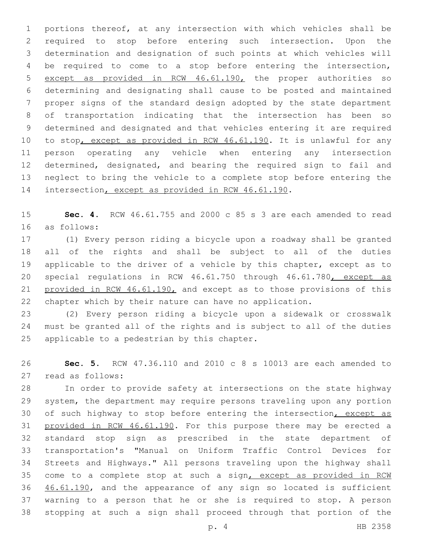portions thereof, at any intersection with which vehicles shall be required to stop before entering such intersection. Upon the determination and designation of such points at which vehicles will be required to come to a stop before entering the intersection, except as provided in RCW 46.61.190, the proper authorities so determining and designating shall cause to be posted and maintained proper signs of the standard design adopted by the state department of transportation indicating that the intersection has been so determined and designated and that vehicles entering it are required 10 to stop, except as provided in RCW 46.61.190. It is unlawful for any person operating any vehicle when entering any intersection determined, designated, and bearing the required sign to fail and neglect to bring the vehicle to a complete stop before entering the 14 intersection, except as provided in RCW 46.61.190.

 **Sec. 4.** RCW 46.61.755 and 2000 c 85 s 3 are each amended to read as follows:16

 (1) Every person riding a bicycle upon a roadway shall be granted all of the rights and shall be subject to all of the duties applicable to the driver of a vehicle by this chapter, except as to 20 special regulations in RCW 46.61.750 through 46.61.780, except as 21 provided in RCW 46.61.190, and except as to those provisions of this chapter which by their nature can have no application.

 (2) Every person riding a bicycle upon a sidewalk or crosswalk must be granted all of the rights and is subject to all of the duties 25 applicable to a pedestrian by this chapter.

 **Sec. 5.** RCW 47.36.110 and 2010 c 8 s 10013 are each amended to read as follows:27

 In order to provide safety at intersections on the state highway system, the department may require persons traveling upon any portion 30 of such highway to stop before entering the intersection, except as 31 provided in RCW 46.61.190. For this purpose there may be erected a standard stop sign as prescribed in the state department of transportation's "Manual on Uniform Traffic Control Devices for Streets and Highways." All persons traveling upon the highway shall come to a complete stop at such a sign, except as provided in RCW 36 46.61.190, and the appearance of any sign so located is sufficient warning to a person that he or she is required to stop. A person stopping at such a sign shall proceed through that portion of the